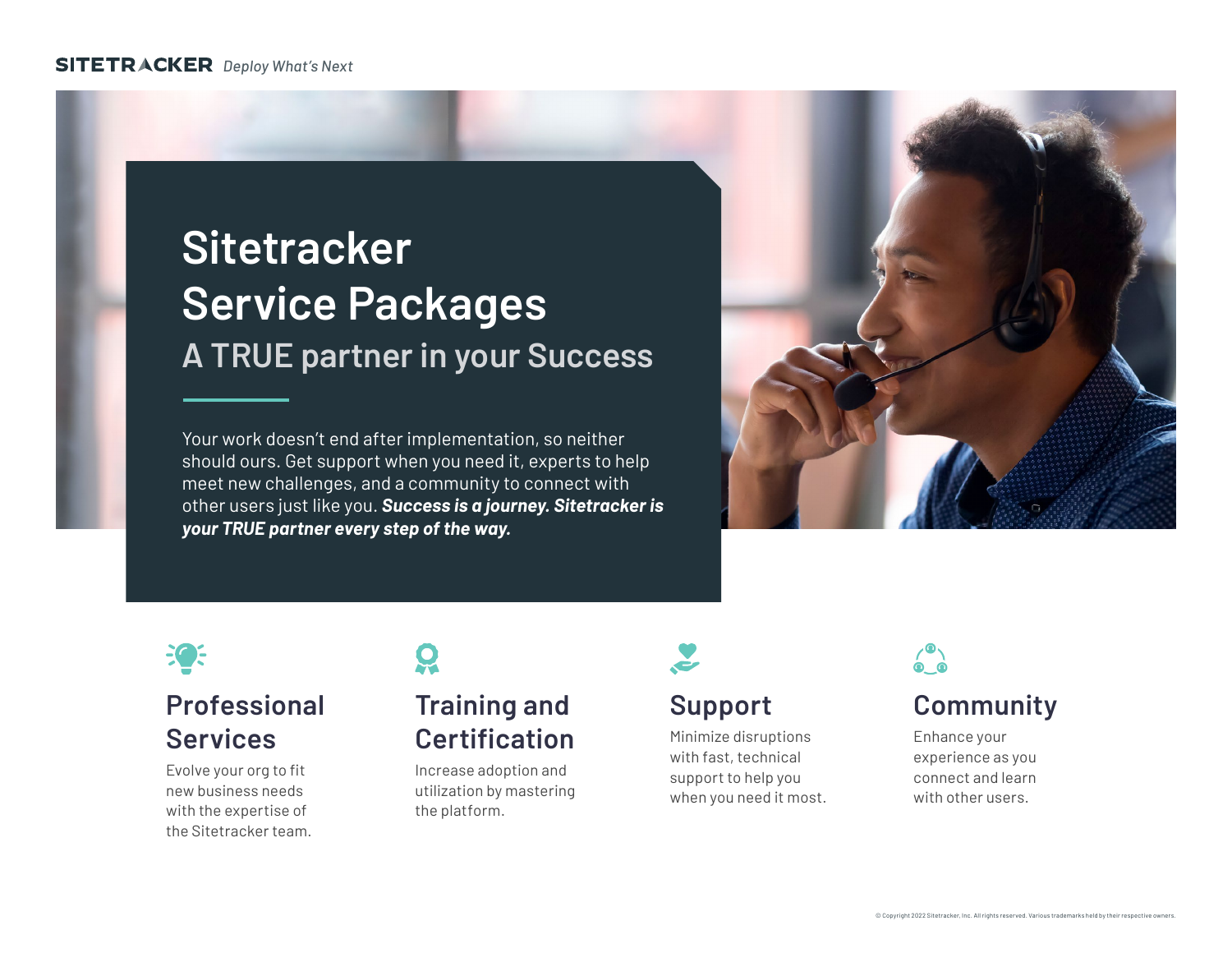#### **SITETRACKER** Deploy What's Next

# **Sitetracker Service Packages A TRUE partner in your Success**

Your work doesn't end after implementation, so neither should ours. Get support when you need it, experts to help meet new challenges, and a community to connect with other users just like you. *Success is a journey. Sitetracker is your TRUE partner every step of the way.*





## **Professional Services**

Evolve your org to fit new business needs with the expertise of the Sitetracker team.

#### **Training and Certification**

Increase adoption and utilization by mastering the platform.



#### **Support**

Minimize disruptions with fast, technical support to help you when you need it most.



## **Community**

Enhance your experience as you connect and learn with other users.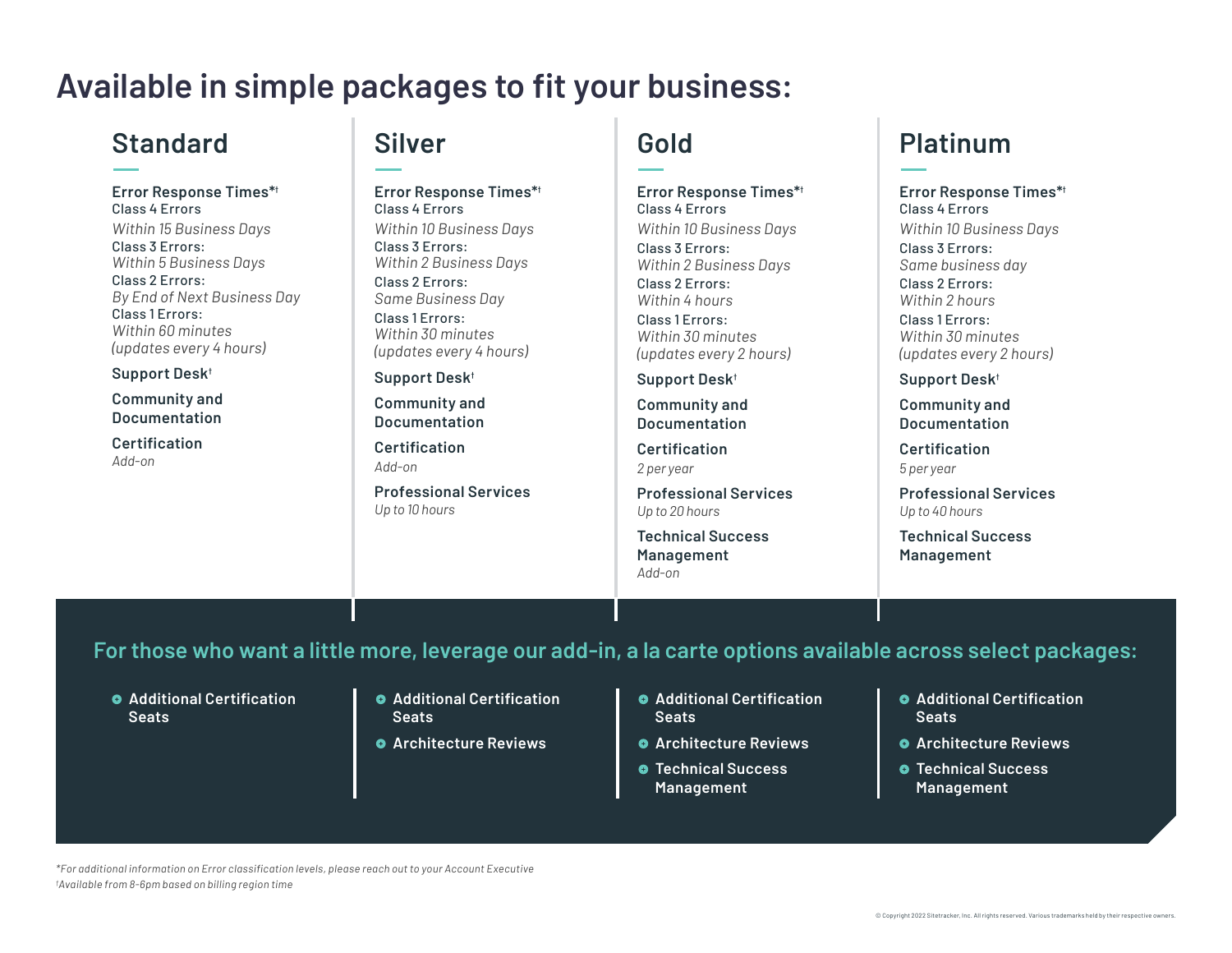# **Available in simple packages to fit your business:**

#### **Standard**

**Error Response Times\*†** Class 4 Errors *Within 15 Business Days* Class 3 Errors: *Within 5 Business Days* Class 2 Errors: *By End of Next Business Day* Class 1 Errors: *Within 60 minutes (updates every 4 hours)*

**Support Desk†**

**Community and Documentation**

**Certification** *Add-on*

# **Silver**

**Error Response Times\*†** Class 4 Errors *Within 10 Business Days* Class 3 Errors: *Within 2 Business Days* Class 2 Errors: *Same Business Day* Class 1 Errors: *Within 30 minutes (updates every 4 hours)*

**Support Desk†**

**Community and Documentation**

**Certification** *Add-on*

**Professional Services** *Up to 10 hours*

# **Gold**

**Error Response Times\*†** Class 4 Errors *Within 10 Business Days* Class 3 Errors: *Within 2 Business Days* Class 2 Errors: *Within 4 hours* Class 1 Errors: *Within 30 minutes (updates every 2 hours)*

**Support Desk†**

**Community and Documentation**

**Certification** *2 per year*

**Professional Services** *Up to 20 hours*

**Technical Success Management** *Add-on*

### **Platinum**

**Error Response Times\*†** Class 4 Errors *Within 10 Business Days* Class 3 Errors: *Same business day* Class 2 Errors: *Within 2 hours* Class 1 Errors: *Within 30 minutes (updates every 2 hours)*

**Support Desk†**

**Community and Documentation**

**Certification** *5 per year*

**Professional Services** *Up to 40 hours*

**Technical Success Management**

#### **For those who want a little more, leverage our add-in, a la carte options available across select packages:**

- **Additional Certification Seats**
- **Additional Certification Seats**
- **Architecture Reviews**
- **Additional Certification Seats**
- **Architecture Reviews**
- **Technical Success Management**
- **Additional Certification Seats**
- **Architecture Reviews**
- **Technical Success Management**

*\*For additional information on Error classification levels, please reach out to your Account Executive † Available from 8-6pm based on billing region time*